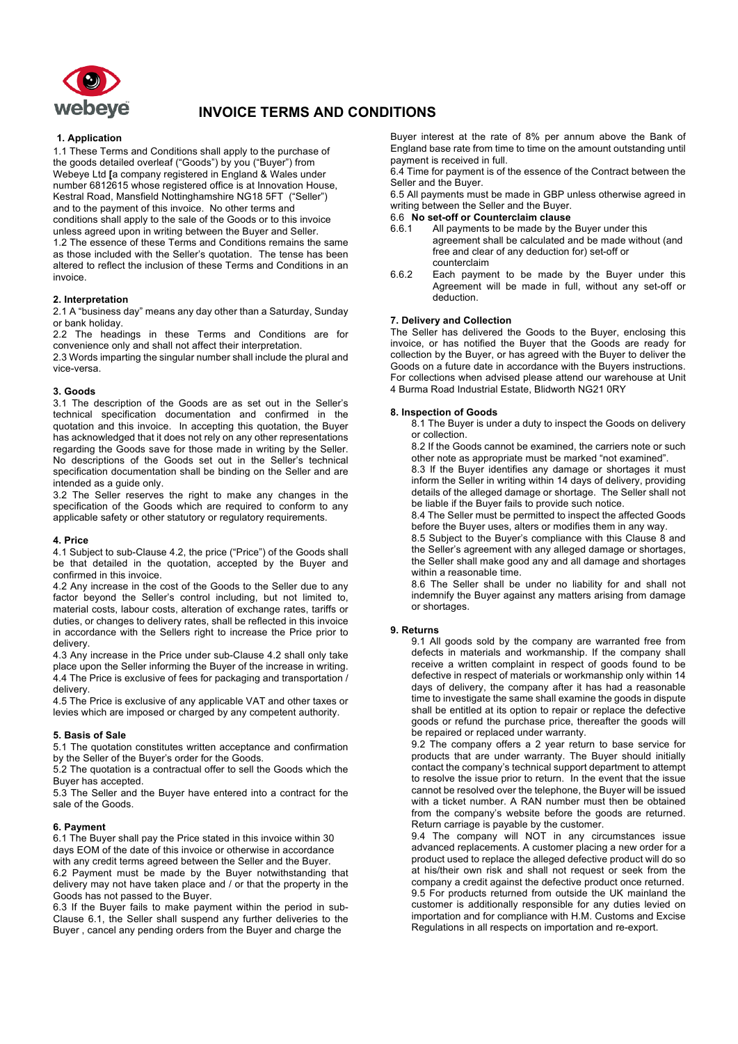

# **INVOICE TERMS AND CONDITIONS**

## **1. Application**

1.1 These Terms and Conditions shall apply to the purchase of the goods detailed overleaf ("Goods") by you ("Buyer") from Webeye Ltd **[**a company registered in England & Wales under number 6812615 whose registered office is at Innovation House, Kestral Road, Mansfield Nottinghamshire NG18 5FT ("Seller") and to the payment of this invoice. No other terms and conditions shall apply to the sale of the Goods or to this invoice unless agreed upon in writing between the Buyer and Seller. 1.2 The essence of these Terms and Conditions remains the same as those included with the Seller's quotation. The tense has been altered to reflect the inclusion of these Terms and Conditions in an invoice.

## **2. Interpretation**

2.1 A "business day" means any day other than a Saturday, Sunday or bank holiday.

2.2 The headings in these Terms and Conditions are for convenience only and shall not affect their interpretation.

2.3 Words imparting the singular number shall include the plural and vice-versa.

## **3. Goods**

3.1 The description of the Goods are as set out in the Seller's technical specification documentation and confirmed in the quotation and this invoice. In accepting this quotation, the Buyer has acknowledged that it does not rely on any other representations regarding the Goods save for those made in writing by the Seller. No descriptions of the Goods set out in the Seller's technical specification documentation shall be binding on the Seller and are intended as a guide only.

3.2 The Seller reserves the right to make any changes in the specification of the Goods which are required to conform to any applicable safety or other statutory or regulatory requirements.

## **4. Price**

4.1 Subject to sub-Clause 4.2, the price ("Price") of the Goods shall be that detailed in the quotation, accepted by the Buyer and confirmed in this invoice.

4.2 Any increase in the cost of the Goods to the Seller due to any factor beyond the Seller's control including, but not limited to, material costs, labour costs, alteration of exchange rates, tariffs or duties, or changes to delivery rates, shall be reflected in this invoice in accordance with the Sellers right to increase the Price prior to delivery.

4.3 Any increase in the Price under sub-Clause 4.2 shall only take place upon the Seller informing the Buyer of the increase in writing. 4.4 The Price is exclusive of fees for packaging and transportation / delivery.

4.5 The Price is exclusive of any applicable VAT and other taxes or levies which are imposed or charged by any competent authority.

## **5. Basis of Sale**

5.1 The quotation constitutes written acceptance and confirmation by the Seller of the Buyer's order for the Goods.

5.2 The quotation is a contractual offer to sell the Goods which the Buyer has accepted.

5.3 The Seller and the Buyer have entered into a contract for the sale of the Goods.

#### **6. Payment**

6.1 The Buyer shall pay the Price stated in this invoice within 30 days EOM of the date of this invoice or otherwise in accordance with any credit terms agreed between the Seller and the Buyer. 6.2 Payment must be made by the Buyer notwithstanding that delivery may not have taken place and / or that the property in the Goods has not passed to the Buyer.

6.3 If the Buyer fails to make payment within the period in sub-Clause 6.1, the Seller shall suspend any further deliveries to the Buyer , cancel any pending orders from the Buyer and charge the

Buyer interest at the rate of 8% per annum above the Bank of England base rate from time to time on the amount outstanding until payment is received in full.

6.4 Time for payment is of the essence of the Contract between the Seller and the Buyer.

6.5 All payments must be made in GBP unless otherwise agreed in writing between the Seller and the Buyer.

## 6.6 **No set-off or Counterclaim clause**

- 6.6.1 All payments to be made by the Buyer under this agreement shall be calculated and be made without (and free and clear of any deduction for) set-off or counterclaim
- 6.6.2 Each payment to be made by the Buyer under this Agreement will be made in full, without any set-off or deduction.

## **7. Delivery and Collection**

The Seller has delivered the Goods to the Buyer, enclosing this invoice, or has notified the Buyer that the Goods are ready for collection by the Buyer, or has agreed with the Buyer to deliver the Goods on a future date in accordance with the Buyers instructions. For collections when advised please attend our warehouse at Unit 4 Burma Road Industrial Estate, Blidworth NG21 0RY

#### **8. Inspection of Goods**

8.1 The Buyer is under a duty to inspect the Goods on delivery or collection.

8.2 If the Goods cannot be examined, the carriers note or such other note as appropriate must be marked "not examined".

8.3 If the Buyer identifies any damage or shortages it must inform the Seller in writing within 14 days of delivery, providing details of the alleged damage or shortage. The Seller shall not be liable if the Buyer fails to provide such notice.

8.4 The Seller must be permitted to inspect the affected Goods before the Buyer uses, alters or modifies them in any way.

8.5 Subject to the Buyer's compliance with this Clause 8 and the Seller's agreement with any alleged damage or shortages, the Seller shall make good any and all damage and shortages within a reasonable time.

8.6 The Seller shall be under no liability for and shall not indemnify the Buyer against any matters arising from damage or shortages.

## **9. Returns**

9.1 All goods sold by the company are warranted free from defects in materials and workmanship. If the company shall receive a written complaint in respect of goods found to be defective in respect of materials or workmanship only within 14 days of delivery, the company after it has had a reasonable time to investigate the same shall examine the goods in dispute shall be entitled at its option to repair or replace the defective goods or refund the purchase price, thereafter the goods will be repaired or replaced under warranty.

9.2 The company offers a 2 year return to base service for products that are under warranty. The Buyer should initially contact the company's technical support department to attempt to resolve the issue prior to return. In the event that the issue cannot be resolved over the telephone, the Buyer will be issued with a ticket number. A RAN number must then be obtained from the company's website before the goods are returned. Return carriage is payable by the customer.

9.4 The company will NOT in any circumstances issue advanced replacements. A customer placing a new order for a product used to replace the alleged defective product will do so at his/their own risk and shall not request or seek from the company a credit against the defective product once returned. 9.5 For products returned from outside the UK mainland the customer is additionally responsible for any duties levied on importation and for compliance with H.M. Customs and Excise Regulations in all respects on importation and re-export.